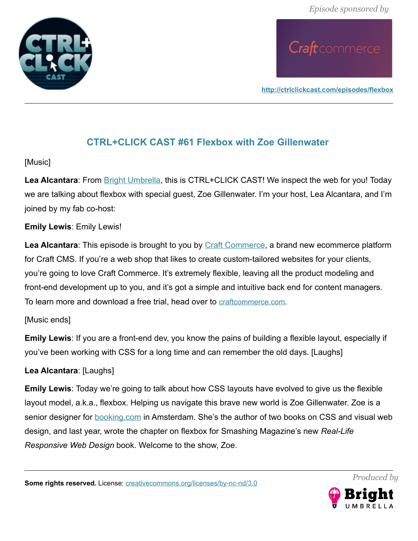

**<http://ctrlclickcast.com/episodes/flexbox>**

#### **CTRL+CLICK CAST #61 Flexbox with Zoe Gillenwater**

#### [Music]

**Lea Alcantara**: From [Bright Umbrella,](http://abrightumbrella.com/) this is CTRL+CLICK CAST! We inspect the web for you! Today we are talking about flexbox with special guest, Zoe Gillenwater. I'm your host, Lea Alcantara, and I'm joined by my fab co-host:

#### **Emily Lewis**: Emily Lewis!

**Lea Alcantara**: This episode is brought to you by [Craft Commerce,](https://craftcommerce.com/) a brand new ecommerce platform for Craft CMS. If you're a web shop that likes to create custom-tailored websites for your clients, you're going to love Craft Commerce. It's extremely flexible, leaving all the product modeling and front-end development up to you, and it's got a simple and intuitive back end for content managers. To learn more and download a free trial, head over to [craftcommerce.com](http://craftcommerce.com/).

#### [Music ends]

**Emily Lewis**: If you are a front-end dev, you know the pains of building a flexible layout, especially if you've been working with CSS for a long time and can remember the old days. [Laughs]

#### **Lea Alcantara**: [Laughs]

**Emily Lewis**: Today we're going to talk about how CSS layouts have evolved to give us the flexible layout model, a.k.a., flexbox. Helping us navigate this brave new world is Zoe Gillenwater. Zoe is a senior designer for **booking.com** in Amsterdam. She's the author of two books on CSS and visual web design, and last year, wrote the chapter on flexbox for Smashing Magazine's new *Real-Life Responsive Web Design* book. Welcome to the show, Zoe.

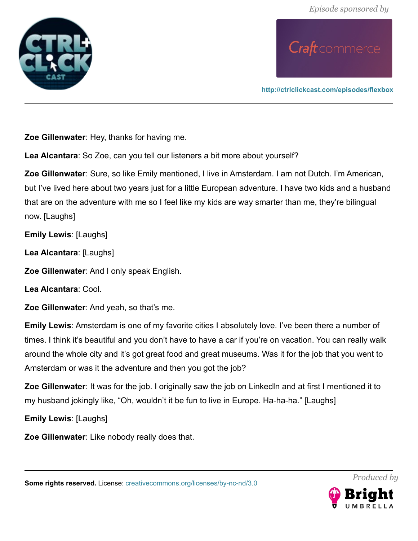

**<http://ctrlclickcast.com/episodes/flexbox>**

**Zoe Gillenwater**: Hey, thanks for having me.

**Lea Alcantara**: So Zoe, can you tell our listeners a bit more about yourself?

**Zoe Gillenwater**: Sure, so like Emily mentioned, I live in Amsterdam. I am not Dutch. I'm American, but I've lived here about two years just for a little European adventure. I have two kids and a husband that are on the adventure with me so I feel like my kids are way smarter than me, they're bilingual now. [Laughs]

**Emily Lewis**: [Laughs]

**Lea Alcantara**: [Laughs]

**Zoe Gillenwater**: And I only speak English.

**Lea Alcantara**: Cool.

**Zoe Gillenwater**: And yeah, so that's me.

**Emily Lewis**: Amsterdam is one of my favorite cities I absolutely love. I've been there a number of times. I think it's beautiful and you don't have to have a car if you're on vacation. You can really walk around the whole city and it's got great food and great museums. Was it for the job that you went to Amsterdam or was it the adventure and then you got the job?

**Zoe Gillenwater**: It was for the job. I originally saw the job on LinkedIn and at first I mentioned it to my husband jokingly like, "Oh, wouldn't it be fun to live in Europe. Ha-ha-ha." [Laughs]

**Emily Lewis**: [Laughs]

**Zoe Gillenwater**: Like nobody really does that.

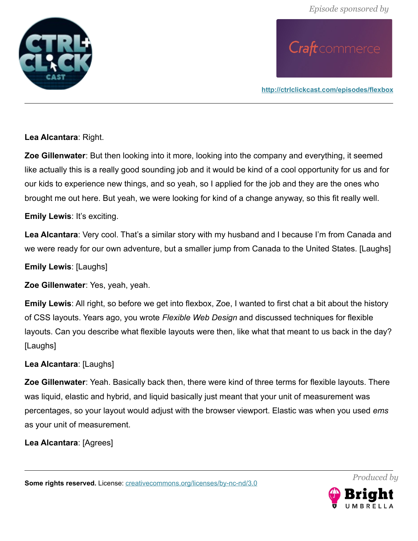

**<http://ctrlclickcast.com/episodes/flexbox>**

**Lea Alcantara**: Right.

**Zoe Gillenwater**: But then looking into it more, looking into the company and everything, it seemed like actually this is a really good sounding job and it would be kind of a cool opportunity for us and for our kids to experience new things, and so yeah, so I applied for the job and they are the ones who brought me out here. But yeah, we were looking for kind of a change anyway, so this fit really well.

**Emily Lewis**: It's exciting.

**Lea Alcantara**: Very cool. That's a similar story with my husband and I because I'm from Canada and we were ready for our own adventure, but a smaller jump from Canada to the United States. [Laughs]

**Emily Lewis**: [Laughs]

**Zoe Gillenwater**: Yes, yeah, yeah.

**Emily Lewis**: All right, so before we get into flexbox, Zoe, I wanted to first chat a bit about the history of CSS layouts. Years ago, you wrote *Flexible Web Design* and discussed techniques for flexible layouts. Can you describe what flexible layouts were then, like what that meant to us back in the day? [Laughs]

#### **Lea Alcantara**: [Laughs]

**Zoe Gillenwater**: Yeah. Basically back then, there were kind of three terms for flexible layouts. There was liquid, elastic and hybrid, and liquid basically just meant that your unit of measurement was percentages, so your layout would adjust with the browser viewport. Elastic was when you used *ems* as your unit of measurement.

**Lea Alcantara**: [Agrees]

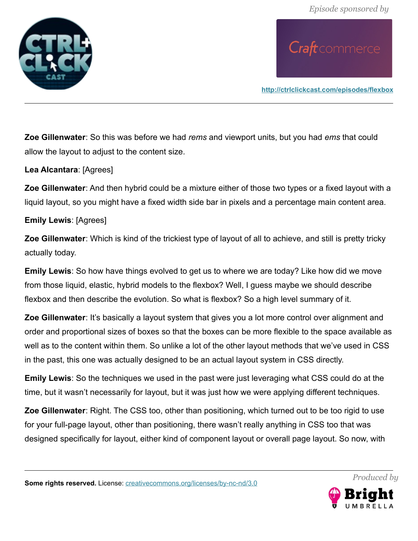

**<http://ctrlclickcast.com/episodes/flexbox>**

**Zoe Gillenwater**: So this was before we had *rems* and viewport units, but you had *ems* that could allow the layout to adjust to the content size.

#### **Lea Alcantara**: [Agrees]

**Zoe Gillenwater**: And then hybrid could be a mixture either of those two types or a fixed layout with a liquid layout, so you might have a fixed width side bar in pixels and a percentage main content area.

#### **Emily Lewis**: [Agrees]

**Zoe Gillenwater**: Which is kind of the trickiest type of layout of all to achieve, and still is pretty tricky actually today.

**Emily Lewis**: So how have things evolved to get us to where we are today? Like how did we move from those liquid, elastic, hybrid models to the flexbox? Well, I guess maybe we should describe flexbox and then describe the evolution. So what is flexbox? So a high level summary of it.

**Zoe Gillenwater**: It's basically a layout system that gives you a lot more control over alignment and order and proportional sizes of boxes so that the boxes can be more flexible to the space available as well as to the content within them. So unlike a lot of the other layout methods that we've used in CSS in the past, this one was actually designed to be an actual layout system in CSS directly.

**Emily Lewis**: So the techniques we used in the past were just leveraging what CSS could do at the time, but it wasn't necessarily for layout, but it was just how we were applying different techniques.

**Zoe Gillenwater**: Right. The CSS too, other than positioning, which turned out to be too rigid to use for your full-page layout, other than positioning, there wasn't really anything in CSS too that was designed specifically for layout, either kind of component layout or overall page layout. So now, with

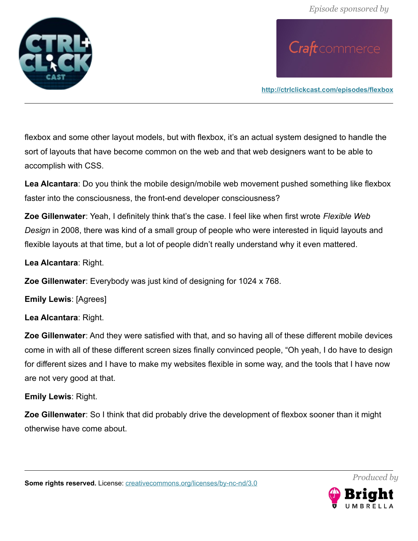

**<http://ctrlclickcast.com/episodes/flexbox>**

flexbox and some other layout models, but with flexbox, it's an actual system designed to handle the sort of layouts that have become common on the web and that web designers want to be able to accomplish with CSS.

**Lea Alcantara**: Do you think the mobile design/mobile web movement pushed something like flexbox faster into the consciousness, the front-end developer consciousness?

**Zoe Gillenwater**: Yeah, I definitely think that's the case. I feel like when first wrote *Flexible Web Design* in 2008, there was kind of a small group of people who were interested in liquid layouts and flexible layouts at that time, but a lot of people didn't really understand why it even mattered.

**Lea Alcantara**: Right.

**Zoe Gillenwater**: Everybody was just kind of designing for 1024 x 768.

**Emily Lewis**: [Agrees]

**Lea Alcantara**: Right.

**Zoe Gillenwater**: And they were satisfied with that, and so having all of these different mobile devices come in with all of these different screen sizes finally convinced people, "Oh yeah, I do have to design for different sizes and I have to make my websites flexible in some way, and the tools that I have now are not very good at that.

**Emily Lewis**: Right.

**Zoe Gillenwater**: So I think that did probably drive the development of flexbox sooner than it might otherwise have come about.

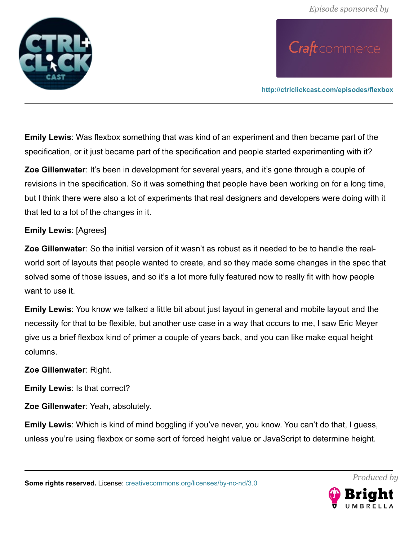

**<http://ctrlclickcast.com/episodes/flexbox>**

**Emily Lewis**: Was flexbox something that was kind of an experiment and then became part of the specification, or it just became part of the specification and people started experimenting with it?

**Zoe Gillenwater**: It's been in development for several years, and it's gone through a couple of revisions in the specification. So it was something that people have been working on for a long time, but I think there were also a lot of experiments that real designers and developers were doing with it that led to a lot of the changes in it.

#### **Emily Lewis**: [Agrees]

**Zoe Gillenwater**: So the initial version of it wasn't as robust as it needed to be to handle the realworld sort of layouts that people wanted to create, and so they made some changes in the spec that solved some of those issues, and so it's a lot more fully featured now to really fit with how people want to use it.

**Emily Lewis**: You know we talked a little bit about just layout in general and mobile layout and the necessity for that to be flexible, but another use case in a way that occurs to me, I saw Eric Meyer give us a brief flexbox kind of primer a couple of years back, and you can like make equal height columns.

#### **Zoe Gillenwater**: Right.

**Emily Lewis**: Is that correct?

**Zoe Gillenwater**: Yeah, absolutely.

**Emily Lewis**: Which is kind of mind boggling if you've never, you know. You can't do that, I guess, unless you're using flexbox or some sort of forced height value or JavaScript to determine height.

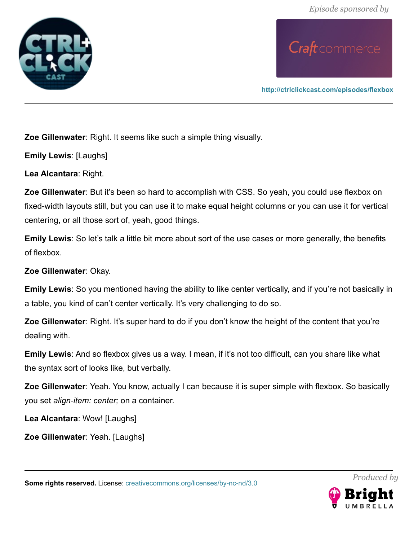

**<http://ctrlclickcast.com/episodes/flexbox>**

**Zoe Gillenwater**: Right. It seems like such a simple thing visually.

**Emily Lewis**: [Laughs]

**Lea Alcantara**: Right.

**Zoe Gillenwater**: But it's been so hard to accomplish with CSS. So yeah, you could use flexbox on fixed-width layouts still, but you can use it to make equal height columns or you can use it for vertical centering, or all those sort of, yeah, good things.

**Emily Lewis**: So let's talk a little bit more about sort of the use cases or more generally, the benefits of flexbox.

**Zoe Gillenwater**: Okay.

**Emily Lewis**: So you mentioned having the ability to like center vertically, and if you're not basically in a table, you kind of can't center vertically. It's very challenging to do so.

**Zoe Gillenwater**: Right. It's super hard to do if you don't know the height of the content that you're dealing with.

**Emily Lewis**: And so flexbox gives us a way. I mean, if it's not too difficult, can you share like what the syntax sort of looks like, but verbally.

**Zoe Gillenwater**: Yeah. You know, actually I can because it is super simple with flexbox. So basically you set *align-item: center;* on a container.

**Lea Alcantara**: Wow! [Laughs]

**Zoe Gillenwater**: Yeah. [Laughs]

**Some rights reserved.** License: *creativecommons.org/licenses/by-nc-nd/3.0* 

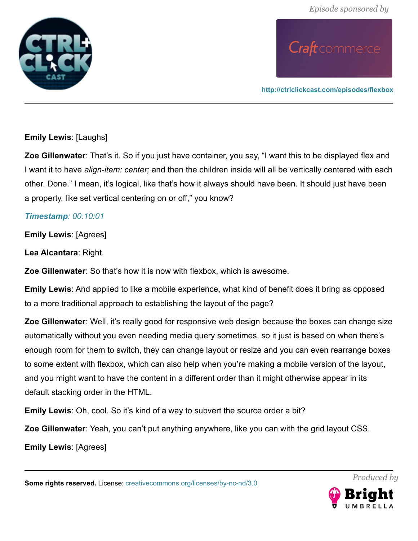

**<http://ctrlclickcast.com/episodes/flexbox>**

#### **Emily Lewis**: [Laughs]

**Zoe Gillenwater**: That's it. So if you just have container, you say, "I want this to be displayed flex and I want it to have *align-item: center;* and then the children inside will all be vertically centered with each other. Done." I mean, it's logical, like that's how it always should have been. It should just have been a property, like set vertical centering on or off," you know?

#### *Timestamp: 00:10:01*

**Emily Lewis**: [Agrees]

**Lea Alcantara**: Right.

**Zoe Gillenwater**: So that's how it is now with flexbox, which is awesome.

**Emily Lewis**: And applied to like a mobile experience, what kind of benefit does it bring as opposed to a more traditional approach to establishing the layout of the page?

**Zoe Gillenwater**: Well, it's really good for responsive web design because the boxes can change size automatically without you even needing media query sometimes, so it just is based on when there's enough room for them to switch, they can change layout or resize and you can even rearrange boxes to some extent with flexbox, which can also help when you're making a mobile version of the layout, and you might want to have the content in a different order than it might otherwise appear in its default stacking order in the HTML.

**Emily Lewis**: Oh, cool. So it's kind of a way to subvert the source order a bit?

**Zoe Gillenwater**: Yeah, you can't put anything anywhere, like you can with the grid layout CSS.

**Emily Lewis**: [Agrees]

**Some rights reserved.** License: *creativecommons.org/licenses/by-nc-nd/3.0* 

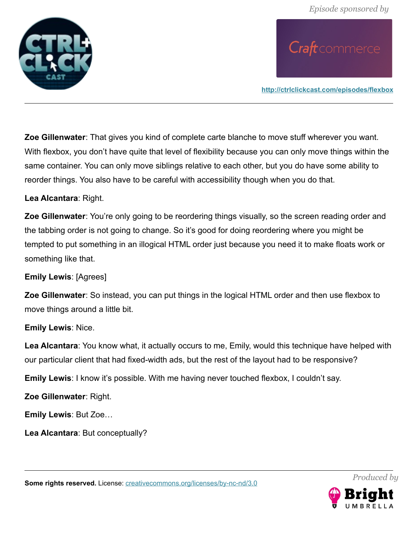

**<http://ctrlclickcast.com/episodes/flexbox>**

**Zoe Gillenwater**: That gives you kind of complete carte blanche to move stuff wherever you want. With flexbox, you don't have quite that level of flexibility because you can only move things within the same container. You can only move siblings relative to each other, but you do have some ability to reorder things. You also have to be careful with accessibility though when you do that.

#### **Lea Alcantara**: Right.

**Zoe Gillenwater**: You're only going to be reordering things visually, so the screen reading order and the tabbing order is not going to change. So it's good for doing reordering where you might be tempted to put something in an illogical HTML order just because you need it to make floats work or something like that.

#### **Emily Lewis**: [Agrees]

**Zoe Gillenwater**: So instead, you can put things in the logical HTML order and then use flexbox to move things around a little bit.

#### **Emily Lewis**: Nice.

**Lea Alcantara**: You know what, it actually occurs to me, Emily, would this technique have helped with our particular client that had fixed-width ads, but the rest of the layout had to be responsive?

**Emily Lewis**: I know it's possible. With me having never touched flexbox, I couldn't say.

**Zoe Gillenwater**: Right.

**Emily Lewis**: But Zoe…

**Lea Alcantara**: But conceptually?

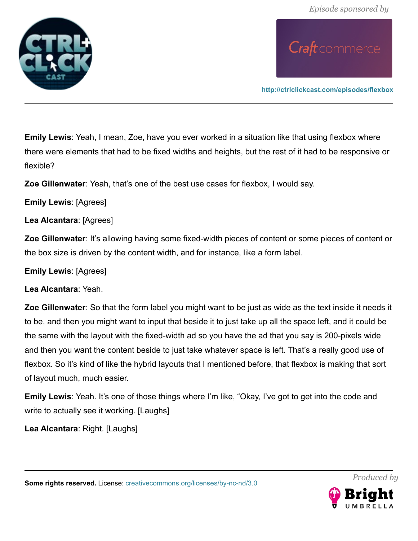*Episode sponsored by*



Craft commerce

**<http://ctrlclickcast.com/episodes/flexbox>**

**Emily Lewis**: Yeah, I mean, Zoe, have you ever worked in a situation like that using flexbox where there were elements that had to be fixed widths and heights, but the rest of it had to be responsive or flexible?

**Zoe Gillenwater**: Yeah, that's one of the best use cases for flexbox, I would say.

**Emily Lewis**: [Agrees]

**Lea Alcantara**: [Agrees]

**Zoe Gillenwater**: It's allowing having some fixed-width pieces of content or some pieces of content or the box size is driven by the content width, and for instance, like a form label.

**Emily Lewis**: [Agrees]

**Lea Alcantara**: Yeah.

**Zoe Gillenwater**: So that the form label you might want to be just as wide as the text inside it needs it to be, and then you might want to input that beside it to just take up all the space left, and it could be the same with the layout with the fixed-width ad so you have the ad that you say is 200-pixels wide and then you want the content beside to just take whatever space is left. That's a really good use of flexbox. So it's kind of like the hybrid layouts that I mentioned before, that flexbox is making that sort of layout much, much easier.

**Emily Lewis**: Yeah. It's one of those things where I'm like, "Okay, I've got to get into the code and write to actually see it working. [Laughs]

**Lea Alcantara**: Right. [Laughs]



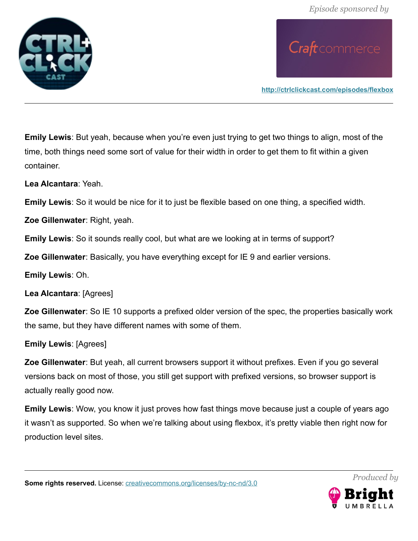

**<http://ctrlclickcast.com/episodes/flexbox>**

**Emily Lewis**: But yeah, because when you're even just trying to get two things to align, most of the time, both things need some sort of value for their width in order to get them to fit within a given container.

**Lea Alcantara**: Yeah.

**Emily Lewis**: So it would be nice for it to just be flexible based on one thing, a specified width.

**Zoe Gillenwater**: Right, yeah.

**Emily Lewis**: So it sounds really cool, but what are we looking at in terms of support?

**Zoe Gillenwater**: Basically, you have everything except for IE 9 and earlier versions.

**Emily Lewis**: Oh.

**Lea Alcantara**: [Agrees]

**Zoe Gillenwater**: So IE 10 supports a prefixed older version of the spec, the properties basically work the same, but they have different names with some of them.

**Emily Lewis**: [Agrees]

**Zoe Gillenwater**: But yeah, all current browsers support it without prefixes. Even if you go several versions back on most of those, you still get support with prefixed versions, so browser support is actually really good now.

**Emily Lewis**: Wow, you know it just proves how fast things move because just a couple of years ago it wasn't as supported. So when we're talking about using flexbox, it's pretty viable then right now for production level sites.

**Some rights reserved.** License: [creativecommons.org/licenses/by-nc-nd/3.0](http://creativecommons.org/licenses/by-nc-nd/3.0/)

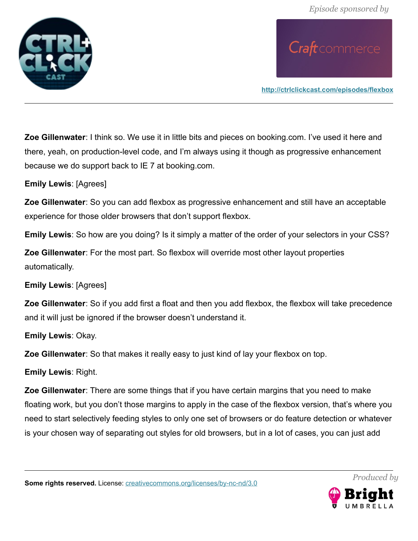

**<http://ctrlclickcast.com/episodes/flexbox>**

**Zoe Gillenwater**: I think so. We use it in little bits and pieces on booking.com. I've used it here and there, yeah, on production-level code, and I'm always using it though as progressive enhancement because we do support back to IE 7 at booking.com.

**Emily Lewis**: [Agrees]

**Zoe Gillenwater**: So you can add flexbox as progressive enhancement and still have an acceptable experience for those older browsers that don't support flexbox.

**Emily Lewis**: So how are you doing? Is it simply a matter of the order of your selectors in your CSS?

**Zoe Gillenwater**: For the most part. So flexbox will override most other layout properties automatically.

**Emily Lewis**: [Agrees]

**Zoe Gillenwater**: So if you add first a float and then you add flexbox, the flexbox will take precedence and it will just be ignored if the browser doesn't understand it.

**Emily Lewis**: Okay.

**Zoe Gillenwater**: So that makes it really easy to just kind of lay your flexbox on top.

**Emily Lewis**: Right.

**Zoe Gillenwater**: There are some things that if you have certain margins that you need to make floating work, but you don't those margins to apply in the case of the flexbox version, that's where you need to start selectively feeding styles to only one set of browsers or do feature detection or whatever is your chosen way of separating out styles for old browsers, but in a lot of cases, you can just add

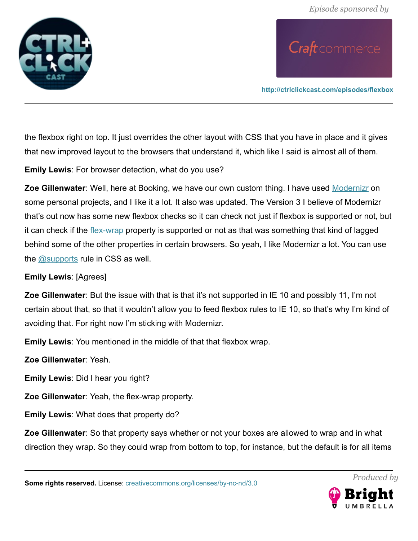

**<http://ctrlclickcast.com/episodes/flexbox>**

the flexbox right on top. It just overrides the other layout with CSS that you have in place and it gives that new improved layout to the browsers that understand it, which like I said is almost all of them.

**Emily Lewis**: For browser detection, what do you use?

**Zoe Gillenwater**: Well, here at Booking, we have our own custom thing. I have used [Modernizr](https://modernizr.com/) on some personal projects, and I like it a lot. It also was updated. The Version 3 I believe of Modernizr that's out now has some new flexbox checks so it can check not just if flexbox is supported or not, but it can check if the [flex-wrap](https://developer.mozilla.org/en-US/docs/Web/CSS/flex-wrap) property is supported or not as that was something that kind of lagged behind some of the other properties in certain browsers. So yeah, I like Modernizr a lot. You can use the **@supports** rule in CSS as well.

#### **Emily Lewis**: [Agrees]

**Zoe Gillenwater**: But the issue with that is that it's not supported in IE 10 and possibly 11, I'm not certain about that, so that it wouldn't allow you to feed flexbox rules to IE 10, so that's why I'm kind of avoiding that. For right now I'm sticking with Modernizr.

**Emily Lewis**: You mentioned in the middle of that that flexbox wrap.

**Zoe Gillenwater**: Yeah.

**Emily Lewis**: Did I hear you right?

**Zoe Gillenwater**: Yeah, the flex-wrap property.

**Emily Lewis**: What does that property do?

**Zoe Gillenwater**: So that property says whether or not your boxes are allowed to wrap and in what direction they wrap. So they could wrap from bottom to top, for instance, but the default is for all items

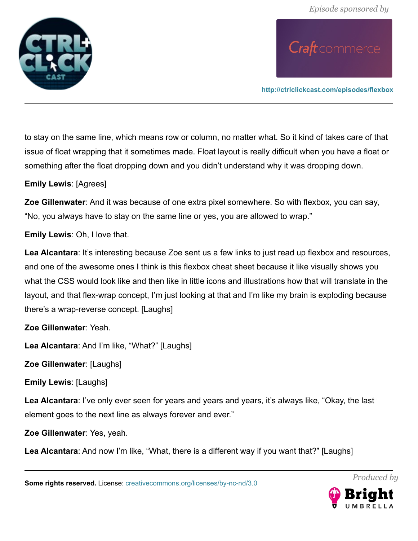

**<http://ctrlclickcast.com/episodes/flexbox>**

to stay on the same line, which means row or column, no matter what. So it kind of takes care of that issue of float wrapping that it sometimes made. Float layout is really difficult when you have a float or something after the float dropping down and you didn't understand why it was dropping down.

**Emily Lewis**: [Agrees]

**Zoe Gillenwater**: And it was because of one extra pixel somewhere. So with flexbox, you can say, "No, you always have to stay on the same line or yes, you are allowed to wrap."

**Emily Lewis**: Oh, I love that.

Lea Alcantara: It's interesting because Zoe sent us a few links to just read up flexbox and resources, and one of the awesome ones I think is this flexbox cheat sheet because it like visually shows you what the CSS would look like and then like in little icons and illustrations how that will translate in the layout, and that flex-wrap concept, I'm just looking at that and I'm like my brain is exploding because there's a wrap-reverse concept. [Laughs]

**Zoe Gillenwater**: Yeah.

**Lea Alcantara**: And I'm like, "What?" [Laughs]

**Zoe Gillenwater**: [Laughs]

**Emily Lewis**: [Laughs]

**Lea Alcantara**: I've only ever seen for years and years and years, it's always like, "Okay, the last element goes to the next line as always forever and ever."

**Zoe Gillenwater**: Yes, yeah.

**Lea Alcantara**: And now I'm like, "What, there is a different way if you want that?" [Laughs]

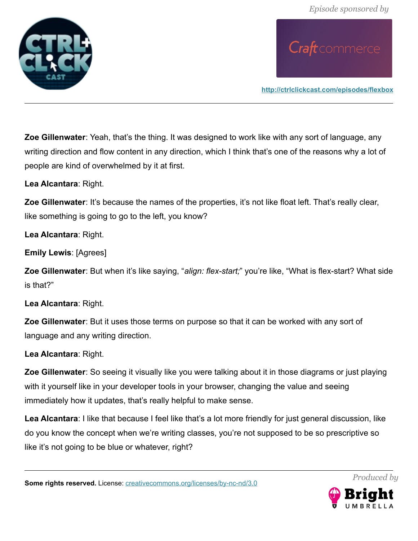

**<http://ctrlclickcast.com/episodes/flexbox>**

**Zoe Gillenwater**: Yeah, that's the thing. It was designed to work like with any sort of language, any writing direction and flow content in any direction, which I think that's one of the reasons why a lot of people are kind of overwhelmed by it at first.

**Lea Alcantara**: Right.

**Zoe Gillenwater**: It's because the names of the properties, it's not like float left. That's really clear, like something is going to go to the left, you know?

**Lea Alcantara**: Right.

**Emily Lewis**: [Agrees]

**Zoe Gillenwater**: But when it's like saying, "*align: flex-start;*" you're like, "What is flex-start? What side is that?"

**Lea Alcantara**: Right.

**Zoe Gillenwater**: But it uses those terms on purpose so that it can be worked with any sort of language and any writing direction.

**Lea Alcantara**: Right.

**Zoe Gillenwater**: So seeing it visually like you were talking about it in those diagrams or just playing with it yourself like in your developer tools in your browser, changing the value and seeing immediately how it updates, that's really helpful to make sense.

**Lea Alcantara**: I like that because I feel like that's a lot more friendly for just general discussion, like do you know the concept when we're writing classes, you're not supposed to be so prescriptive so like it's not going to be blue or whatever, right?

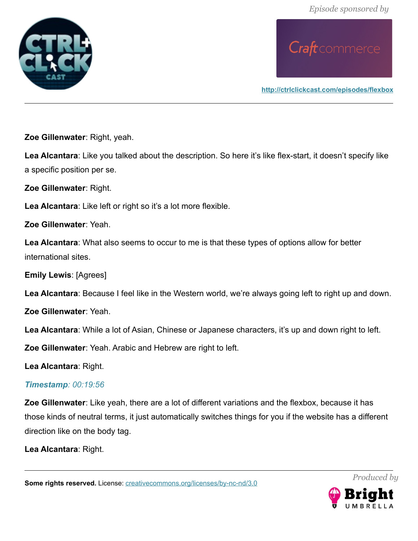*Episode sponsored by*





**<http://ctrlclickcast.com/episodes/flexbox>**

**Zoe Gillenwater**: Right, yeah.

**Lea Alcantara**: Like you talked about the description. So here it's like flex-start, it doesn't specify like a specific position per se.

**Zoe Gillenwater**: Right.

**Lea Alcantara**: Like left or right so it's a lot more flexible.

**Zoe Gillenwater**: Yeah.

**Lea Alcantara**: What also seems to occur to me is that these types of options allow for better international sites.

**Emily Lewis**: [Agrees]

**Lea Alcantara**: Because I feel like in the Western world, we're always going left to right up and down.

**Zoe Gillenwater**: Yeah.

**Lea Alcantara**: While a lot of Asian, Chinese or Japanese characters, it's up and down right to left.

**Zoe Gillenwater**: Yeah. Arabic and Hebrew are right to left.

**Lea Alcantara**: Right.

#### *Timestamp: 00:19:56*

**Zoe Gillenwater**: Like yeah, there are a lot of different variations and the flexbox, because it has those kinds of neutral terms, it just automatically switches things for you if the website has a different direction like on the body tag.

**Lea Alcantara**: Right.

**Some rights reserved.** License: *creativecommons.org/licenses/by-nc-nd/3.0* 



*Produced by*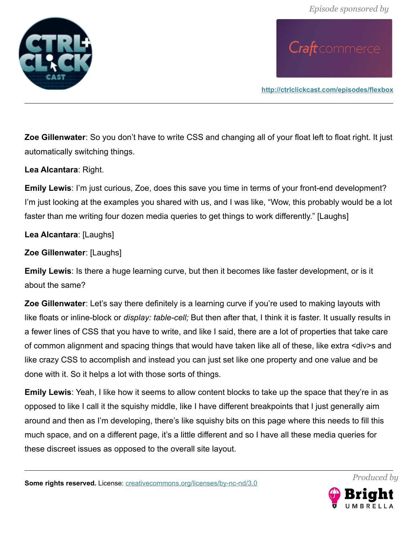

**<http://ctrlclickcast.com/episodes/flexbox>**

**Zoe Gillenwater**: So you don't have to write CSS and changing all of your float left to float right. It just automatically switching things.

#### **Lea Alcantara**: Right.

**Emily Lewis**: I'm just curious, Zoe, does this save you time in terms of your front-end development? I'm just looking at the examples you shared with us, and I was like, "Wow, this probably would be a lot faster than me writing four dozen media queries to get things to work differently." [Laughs]

#### **Lea Alcantara**: [Laughs]

**Zoe Gillenwater**: [Laughs]

**Emily Lewis**: Is there a huge learning curve, but then it becomes like faster development, or is it about the same?

**Zoe Gillenwater**: Let's say there definitely is a learning curve if you're used to making layouts with like floats or inline-block or *display: table-cell;* But then after that, I think it is faster. It usually results in a fewer lines of CSS that you have to write, and like I said, there are a lot of properties that take care of common alignment and spacing things that would have taken like all of these, like extra <div>s and like crazy CSS to accomplish and instead you can just set like one property and one value and be done with it. So it helps a lot with those sorts of things.

**Emily Lewis**: Yeah, I like how it seems to allow content blocks to take up the space that they're in as opposed to like I call it the squishy middle, like I have different breakpoints that I just generally aim around and then as I'm developing, there's like squishy bits on this page where this needs to fill this much space, and on a different page, it's a little different and so I have all these media queries for these discreet issues as opposed to the overall site layout.

**Some rights reserved.** License: *creativecommons.org/licenses/by-nc-nd/3.0* 

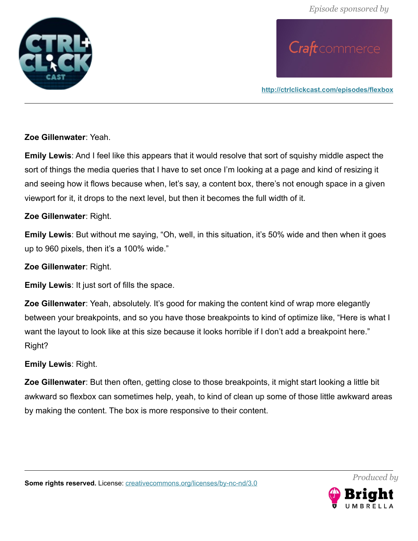

**<http://ctrlclickcast.com/episodes/flexbox>**

**Zoe Gillenwater**: Yeah.

**Emily Lewis**: And I feel like this appears that it would resolve that sort of squishy middle aspect the sort of things the media queries that I have to set once I'm looking at a page and kind of resizing it and seeing how it flows because when, let's say, a content box, there's not enough space in a given viewport for it, it drops to the next level, but then it becomes the full width of it.

#### **Zoe Gillenwater**: Right.

**Emily Lewis**: But without me saying, "Oh, well, in this situation, it's 50% wide and then when it goes up to 960 pixels, then it's a 100% wide."

**Zoe Gillenwater**: Right.

**Emily Lewis**: It just sort of fills the space.

**Zoe Gillenwater**: Yeah, absolutely. It's good for making the content kind of wrap more elegantly between your breakpoints, and so you have those breakpoints to kind of optimize like, "Here is what I want the layout to look like at this size because it looks horrible if I don't add a breakpoint here." Right?

**Emily Lewis**: Right.

**Zoe Gillenwater**: But then often, getting close to those breakpoints, it might start looking a little bit awkward so flexbox can sometimes help, yeah, to kind of clean up some of those little awkward areas by making the content. The box is more responsive to their content.

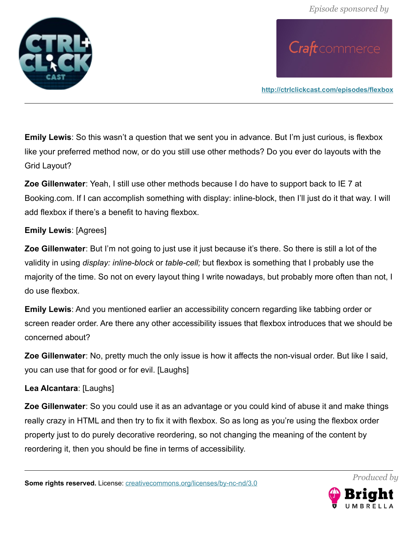

**<http://ctrlclickcast.com/episodes/flexbox>**

**Emily Lewis**: So this wasn't a question that we sent you in advance. But I'm just curious, is flexbox like your preferred method now, or do you still use other methods? Do you ever do layouts with the Grid Layout?

**Zoe Gillenwater**: Yeah, I still use other methods because I do have to support back to IE 7 at Booking.com. If I can accomplish something with display: inline-block, then I'll just do it that way. I will add flexbox if there's a benefit to having flexbox.

#### **Emily Lewis**: [Agrees]

**Zoe Gillenwater**: But I'm not going to just use it just because it's there. So there is still a lot of the validity in using *display: inline-block* or *table-cell;* but flexbox is something that I probably use the majority of the time. So not on every layout thing I write nowadays, but probably more often than not, I do use flexbox.

**Emily Lewis**: And you mentioned earlier an accessibility concern regarding like tabbing order or screen reader order. Are there any other accessibility issues that flexbox introduces that we should be concerned about?

**Zoe Gillenwater**: No, pretty much the only issue is how it affects the non-visual order. But like I said, you can use that for good or for evil. [Laughs]

**Lea Alcantara**: [Laughs]

**Zoe Gillenwater**: So you could use it as an advantage or you could kind of abuse it and make things really crazy in HTML and then try to fix it with flexbox. So as long as you're using the flexbox order property just to do purely decorative reordering, so not changing the meaning of the content by reordering it, then you should be fine in terms of accessibility.

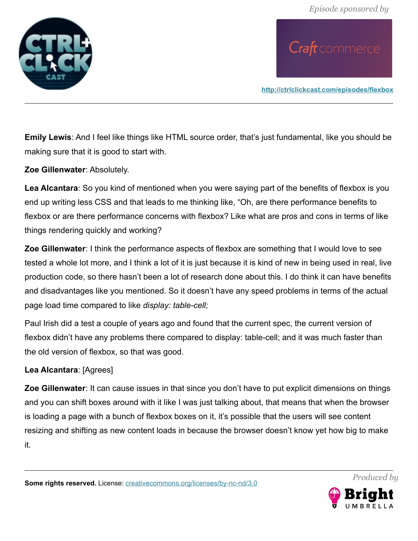

**<http://ctrlclickcast.com/episodes/flexbox>**

**Emily Lewis**: And I feel like things like HTML source order, that's just fundamental, like you should be making sure that it is good to start with.

**Zoe Gillenwater**: Absolutely.

**Lea Alcantara**: So you kind of mentioned when you were saying part of the benefits of flexbox is you end up writing less CSS and that leads to me thinking like, "Oh, are there performance benefits to flexbox or are there performance concerns with flexbox? Like what are pros and cons in terms of like things rendering quickly and working?

**Zoe Gillenwater**: I think the performance aspects of flexbox are something that I would love to see tested a whole lot more, and I think a lot of it is just because it is kind of new in being used in real, live production code, so there hasn't been a lot of research done about this. I do think it can have benefits and disadvantages like you mentioned. So it doesn't have any speed problems in terms of the actual page load time compared to like *display: table-cell;*

Paul Irish did a test a couple of years ago and found that the current spec, the current version of flexbox didn't have any problems there compared to display: table-cell; and it was much faster than the old version of flexbox, so that was good.

#### **Lea Alcantara**: [Agrees]

**Zoe Gillenwater**: It can cause issues in that since you don't have to put explicit dimensions on things and you can shift boxes around with it like I was just talking about, that means that when the browser is loading a page with a bunch of flexbox boxes on it, it's possible that the users will see content resizing and shifting as new content loads in because the browser doesn't know yet how big to make it.

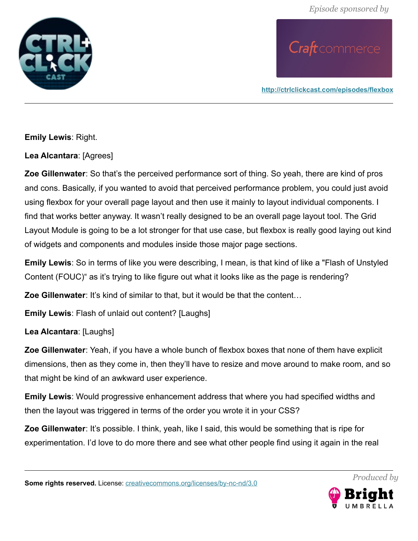

**<http://ctrlclickcast.com/episodes/flexbox>**

**Emily Lewis**: Right.

**Lea Alcantara**: [Agrees]

**Zoe Gillenwater**: So that's the perceived performance sort of thing. So yeah, there are kind of pros and cons. Basically, if you wanted to avoid that perceived performance problem, you could just avoid using flexbox for your overall page layout and then use it mainly to layout individual components. I find that works better anyway. It wasn't really designed to be an overall page layout tool. The Grid Layout Module is going to be a lot stronger for that use case, but flexbox is really good laying out kind of widgets and components and modules inside those major page sections.

**Emily Lewis**: So in terms of like you were describing, I mean, is that kind of like a "Flash of Unstyled Content (FOUC)" as it's trying to like figure out what it looks like as the page is rendering?

**Zoe Gillenwater**: It's kind of similar to that, but it would be that the content...

**Emily Lewis**: Flash of unlaid out content? [Laughs]

**Lea Alcantara**: [Laughs]

**Zoe Gillenwater**: Yeah, if you have a whole bunch of flexbox boxes that none of them have explicit dimensions, then as they come in, then they'll have to resize and move around to make room, and so that might be kind of an awkward user experience.

**Emily Lewis**: Would progressive enhancement address that where you had specified widths and then the layout was triggered in terms of the order you wrote it in your CSS?

**Zoe Gillenwater**: It's possible. I think, yeah, like I said, this would be something that is ripe for experimentation. I'd love to do more there and see what other people find using it again in the real

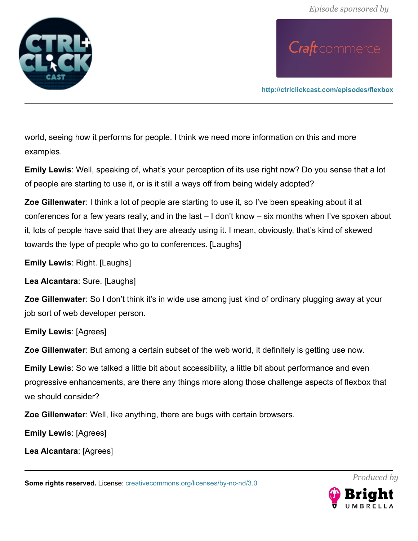

**<http://ctrlclickcast.com/episodes/flexbox>**

world, seeing how it performs for people. I think we need more information on this and more examples.

**Emily Lewis**: Well, speaking of, what's your perception of its use right now? Do you sense that a lot of people are starting to use it, or is it still a ways off from being widely adopted?

**Zoe Gillenwater**: I think a lot of people are starting to use it, so I've been speaking about it at conferences for a few years really, and in the last – I don't know – six months when I've spoken about it, lots of people have said that they are already using it. I mean, obviously, that's kind of skewed towards the type of people who go to conferences. [Laughs]

**Emily Lewis**: Right. [Laughs]

**Lea Alcantara**: Sure. [Laughs]

**Zoe Gillenwater**: So I don't think it's in wide use among just kind of ordinary plugging away at your job sort of web developer person.

**Emily Lewis**: [Agrees]

**Zoe Gillenwater**: But among a certain subset of the web world, it definitely is getting use now.

**Emily Lewis**: So we talked a little bit about accessibility, a little bit about performance and even progressive enhancements, are there any things more along those challenge aspects of flexbox that we should consider?

**Zoe Gillenwater**: Well, like anything, there are bugs with certain browsers.

**Emily Lewis**: [Agrees]

**Lea Alcantara**: [Agrees]

**Some rights reserved.** License: *creativecommons.org/licenses/by-nc-nd/3.0* 

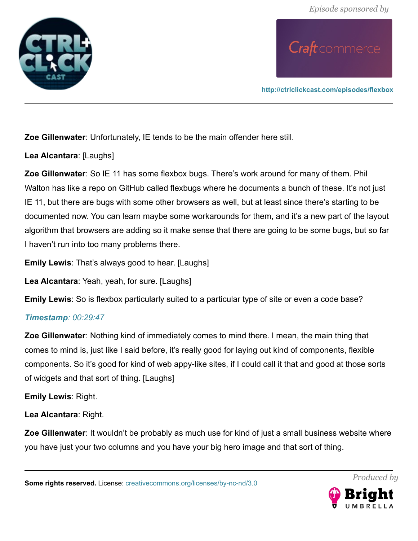

**<http://ctrlclickcast.com/episodes/flexbox>**

**Zoe Gillenwater**: Unfortunately, IE tends to be the main offender here still.

**Lea Alcantara**: [Laughs]

**Zoe Gillenwater**: So IE 11 has some flexbox bugs. There's work around for many of them. Phil Walton has like a repo on GitHub called flexbugs where he documents a bunch of these. It's not just IE 11, but there are bugs with some other browsers as well, but at least since there's starting to be documented now. You can learn maybe some workarounds for them, and it's a new part of the layout algorithm that browsers are adding so it make sense that there are going to be some bugs, but so far I haven't run into too many problems there.

**Emily Lewis**: That's always good to hear. [Laughs]

**Lea Alcantara**: Yeah, yeah, for sure. [Laughs]

**Emily Lewis**: So is flexbox particularly suited to a particular type of site or even a code base?

#### *Timestamp: 00:29:47*

**Zoe Gillenwater**: Nothing kind of immediately comes to mind there. I mean, the main thing that comes to mind is, just like I said before, it's really good for laying out kind of components, flexible components. So it's good for kind of web appy-like sites, if I could call it that and good at those sorts of widgets and that sort of thing. [Laughs]

**Emily Lewis**: Right.

**Lea Alcantara**: Right.

**Zoe Gillenwater**: It wouldn't be probably as much use for kind of just a small business website where you have just your two columns and you have your big hero image and that sort of thing.

**Some rights reserved.** License: [creativecommons.org/licenses/by-nc-nd/3.0](http://creativecommons.org/licenses/by-nc-nd/3.0/)

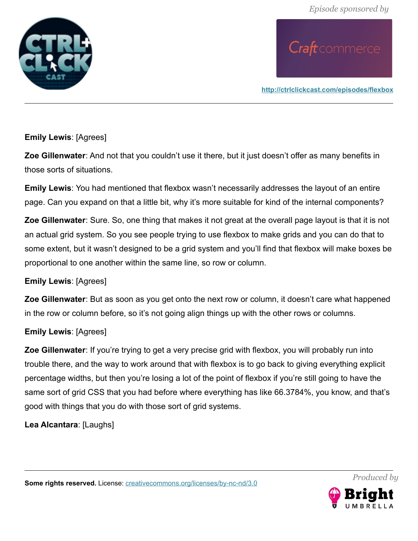

**<http://ctrlclickcast.com/episodes/flexbox>**

#### **Emily Lewis**: [Agrees]

**Zoe Gillenwater**: And not that you couldn't use it there, but it just doesn't offer as many benefits in those sorts of situations.

**Emily Lewis**: You had mentioned that flexbox wasn't necessarily addresses the layout of an entire page. Can you expand on that a little bit, why it's more suitable for kind of the internal components?

**Zoe Gillenwater**: Sure. So, one thing that makes it not great at the overall page layout is that it is not an actual grid system. So you see people trying to use flexbox to make grids and you can do that to some extent, but it wasn't designed to be a grid system and you'll find that flexbox will make boxes be proportional to one another within the same line, so row or column.

#### **Emily Lewis**: [Agrees]

**Zoe Gillenwater**: But as soon as you get onto the next row or column, it doesn't care what happened in the row or column before, so it's not going align things up with the other rows or columns.

#### **Emily Lewis**: [Agrees]

**Zoe Gillenwater**: If you're trying to get a very precise grid with flexbox, you will probably run into trouble there, and the way to work around that with flexbox is to go back to giving everything explicit percentage widths, but then you're losing a lot of the point of flexbox if you're still going to have the same sort of grid CSS that you had before where everything has like 66.3784%, you know, and that's good with things that you do with those sort of grid systems.

**Lea Alcantara**: [Laughs]

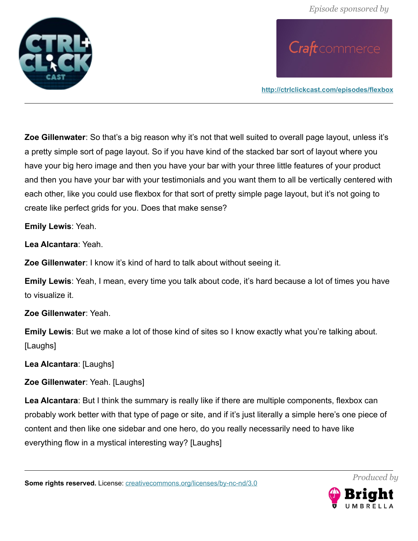

**<http://ctrlclickcast.com/episodes/flexbox>**

**Zoe Gillenwater**: So that's a big reason why it's not that well suited to overall page layout, unless it's a pretty simple sort of page layout. So if you have kind of the stacked bar sort of layout where you have your big hero image and then you have your bar with your three little features of your product and then you have your bar with your testimonials and you want them to all be vertically centered with each other, like you could use flexbox for that sort of pretty simple page layout, but it's not going to create like perfect grids for you. Does that make sense?

**Emily Lewis**: Yeah.

**Lea Alcantara**: Yeah.

**Zoe Gillenwater**: I know it's kind of hard to talk about without seeing it.

**Emily Lewis**: Yeah, I mean, every time you talk about code, it's hard because a lot of times you have to visualize it.

**Zoe Gillenwater**: Yeah.

**Emily Lewis**: But we make a lot of those kind of sites so I know exactly what you're talking about. [Laughs]

**Lea Alcantara**: [Laughs]

**Zoe Gillenwater**: Yeah. [Laughs]

**Lea Alcantara**: But I think the summary is really like if there are multiple components, flexbox can probably work better with that type of page or site, and if it's just literally a simple here's one piece of content and then like one sidebar and one hero, do you really necessarily need to have like everything flow in a mystical interesting way? [Laughs]

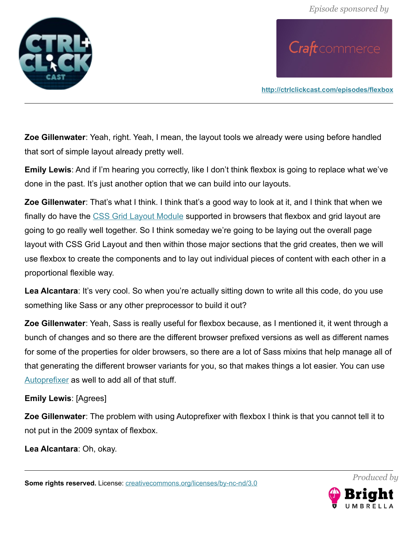

**<http://ctrlclickcast.com/episodes/flexbox>**

**Zoe Gillenwater**: Yeah, right. Yeah, I mean, the layout tools we already were using before handled that sort of simple layout already pretty well.

**Emily Lewis**: And if I'm hearing you correctly, like I don't think flexbox is going to replace what we've done in the past. It's just another option that we can build into our layouts.

**Zoe Gillenwater**: That's what I think. I think that's a good way to look at it, and I think that when we finally do have the [CSS Grid Layout Module](https://www.w3.org/TR/css3-grid-layout/) supported in browsers that flexbox and grid layout are going to go really well together. So I think someday we're going to be laying out the overall page layout with CSS Grid Layout and then within those major sections that the grid creates, then we will use flexbox to create the components and to lay out individual pieces of content with each other in a proportional flexible way.

Lea Alcantara: It's very cool. So when you're actually sitting down to write all this code, do you use something like Sass or any other preprocessor to build it out?

**Zoe Gillenwater**: Yeah, Sass is really useful for flexbox because, as I mentioned it, it went through a bunch of changes and so there are the different browser prefixed versions as well as different names for some of the properties for older browsers, so there are a lot of Sass mixins that help manage all of that generating the different browser variants for you, so that makes things a lot easier. You can use [Autoprefixer](https://autoprefixer.github.io/) as well to add all of that stuff.

#### **Emily Lewis**: [Agrees]

**Zoe Gillenwater**: The problem with using Autoprefixer with flexbox I think is that you cannot tell it to not put in the 2009 syntax of flexbox.

**Lea Alcantara**: Oh, okay.

**Some rights reserved.** License: *creativecommons.org/licenses/by-nc-nd/3.0* 

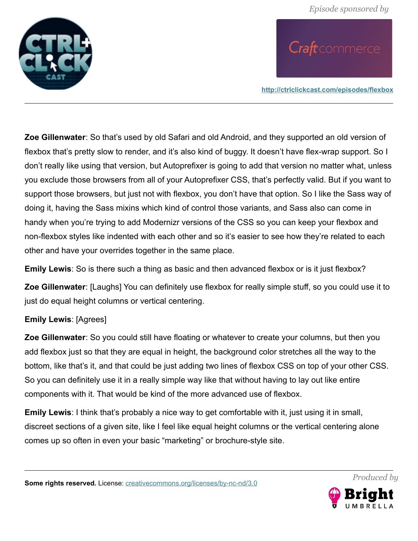

**<http://ctrlclickcast.com/episodes/flexbox>**

**Zoe Gillenwater**: So that's used by old Safari and old Android, and they supported an old version of flexbox that's pretty slow to render, and it's also kind of buggy. It doesn't have flex-wrap support. So I don't really like using that version, but Autoprefixer is going to add that version no matter what, unless you exclude those browsers from all of your Autoprefixer CSS, that's perfectly valid. But if you want to support those browsers, but just not with flexbox, you don't have that option. So I like the Sass way of doing it, having the Sass mixins which kind of control those variants, and Sass also can come in handy when you're trying to add Modernizr versions of the CSS so you can keep your flexbox and non-flexbox styles like indented with each other and so it's easier to see how they're related to each other and have your overrides together in the same place.

**Emily Lewis**: So is there such a thing as basic and then advanced flexbox or is it just flexbox?

**Zoe Gillenwater**: [Laughs] You can definitely use flexbox for really simple stuff, so you could use it to just do equal height columns or vertical centering.

#### **Emily Lewis**: [Agrees]

**Zoe Gillenwater**: So you could still have floating or whatever to create your columns, but then you add flexbox just so that they are equal in height, the background color stretches all the way to the bottom, like that's it, and that could be just adding two lines of flexbox CSS on top of your other CSS. So you can definitely use it in a really simple way like that without having to lay out like entire components with it. That would be kind of the more advanced use of flexbox.

**Emily Lewis**: I think that's probably a nice way to get comfortable with it, just using it in small, discreet sections of a given site, like I feel like equal height columns or the vertical centering alone comes up so often in even your basic "marketing" or brochure-style site.

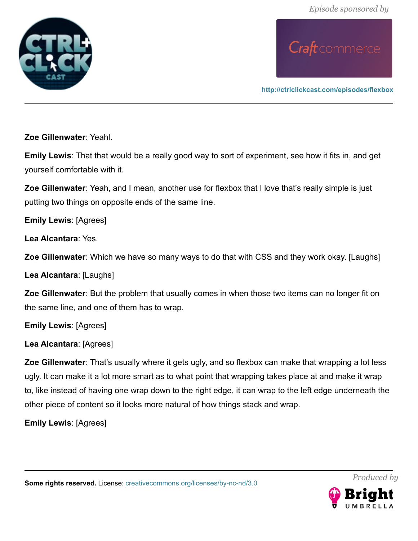

**<http://ctrlclickcast.com/episodes/flexbox>**

**Zoe Gillenwater**: Yeahl.

**Emily Lewis**: That that would be a really good way to sort of experiment, see how it fits in, and get yourself comfortable with it.

**Zoe Gillenwater**: Yeah, and I mean, another use for flexbox that I love that's really simple is just putting two things on opposite ends of the same line.

**Emily Lewis**: [Agrees]

**Lea Alcantara**: Yes.

**Zoe Gillenwater**: Which we have so many ways to do that with CSS and they work okay. [Laughs]

**Lea Alcantara**: [Laughs]

**Zoe Gillenwater**: But the problem that usually comes in when those two items can no longer fit on the same line, and one of them has to wrap.

**Emily Lewis**: [Agrees]

**Lea Alcantara**: [Agrees]

**Zoe Gillenwater**: That's usually where it gets ugly, and so flexbox can make that wrapping a lot less ugly. It can make it a lot more smart as to what point that wrapping takes place at and make it wrap to, like instead of having one wrap down to the right edge, it can wrap to the left edge underneath the other piece of content so it looks more natural of how things stack and wrap.

**Emily Lewis**: [Agrees]

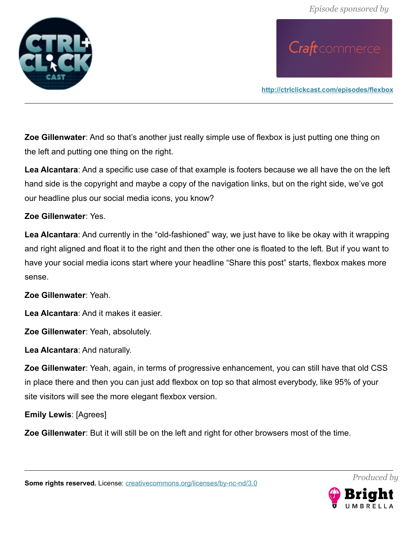

**<http://ctrlclickcast.com/episodes/flexbox>**

**Zoe Gillenwater**: And so that's another just really simple use of flexbox is just putting one thing on the left and putting one thing on the right.

**Lea Alcantara**: And a specific use case of that example is footers because we all have the on the left hand side is the copyright and maybe a copy of the navigation links, but on the right side, we've got our headline plus our social media icons, you know?

#### **Zoe Gillenwater**: Yes.

**Lea Alcantara**: And currently in the "old-fashioned" way, we just have to like be okay with it wrapping and right aligned and float it to the right and then the other one is floated to the left. But if you want to have your social media icons start where your headline "Share this post" starts, flexbox makes more sense.

**Zoe Gillenwater**: Yeah.

**Lea Alcantara**: And it makes it easier.

**Zoe Gillenwater**: Yeah, absolutely.

**Lea Alcantara**: And naturally.

**Zoe Gillenwater**: Yeah, again, in terms of progressive enhancement, you can still have that old CSS in place there and then you can just add flexbox on top so that almost everybody, like 95% of your site visitors will see the more elegant flexbox version.

**Emily Lewis**: [Agrees]

**Zoe Gillenwater**: But it will still be on the left and right for other browsers most of the time.

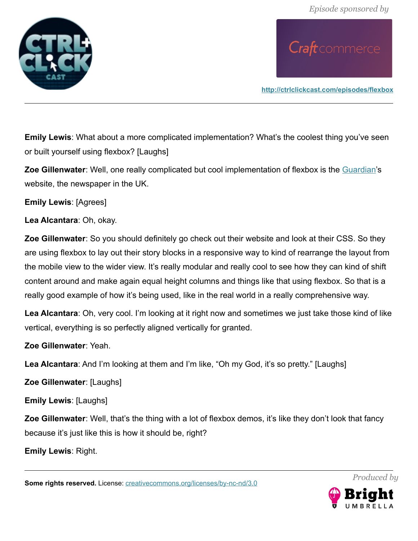

**<http://ctrlclickcast.com/episodes/flexbox>**

**Emily Lewis**: What about a more complicated implementation? What's the coolest thing you've seen or built yourself using flexbox? [Laughs]

**Zoe Gillenwater**: Well, one really complicated but cool implementation of flexbox is the [Guardian'](http://www.theguardian.com/)s website, the newspaper in the UK.

**Emily Lewis**: [Agrees]

**Lea Alcantara**: Oh, okay.

**Zoe Gillenwater**: So you should definitely go check out their website and look at their CSS. So they are using flexbox to lay out their story blocks in a responsive way to kind of rearrange the layout from the mobile view to the wider view. It's really modular and really cool to see how they can kind of shift content around and make again equal height columns and things like that using flexbox. So that is a really good example of how it's being used, like in the real world in a really comprehensive way.

**Lea Alcantara**: Oh, very cool. I'm looking at it right now and sometimes we just take those kind of like vertical, everything is so perfectly aligned vertically for granted.

**Zoe Gillenwater**: Yeah.

Lea Alcantara: And I'm looking at them and I'm like, "Oh my God, it's so pretty." [Laughs]

**Zoe Gillenwater**: [Laughs]

**Emily Lewis**: [Laughs]

**Zoe Gillenwater**: Well, that's the thing with a lot of flexbox demos, it's like they don't look that fancy because it's just like this is how it should be, right?

**Emily Lewis**: Right.

**Some rights reserved.** License: *creativecommons.org/licenses/by-nc-nd/3.0* 

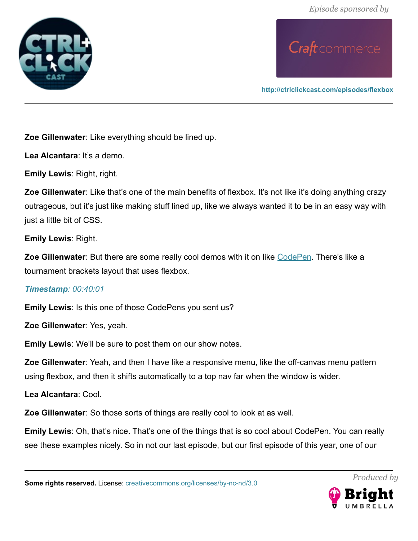

**<http://ctrlclickcast.com/episodes/flexbox>**

**Zoe Gillenwater**: Like everything should be lined up.

**Lea Alcantara**: It's a demo.

**Emily Lewis**: Right, right.

**Zoe Gillenwater**: Like that's one of the main benefits of flexbox. It's not like it's doing anything crazy outrageous, but it's just like making stuff lined up, like we always wanted it to be in an easy way with just a little bit of CSS.

**Emily Lewis**: Right.

**Zoe Gillenwater**: But there are some really cool demos with it on like [CodePen.](http://codepen.com/) There's like a tournament brackets layout that uses flexbox.

#### *Timestamp: 00:40:01*

**Emily Lewis**: Is this one of those CodePens you sent us?

**Zoe Gillenwater**: Yes, yeah.

**Emily Lewis**: We'll be sure to post them on our show notes.

**Zoe Gillenwater**: Yeah, and then I have like a responsive menu, like the off-canvas menu pattern using flexbox, and then it shifts automatically to a top nav far when the window is wider.

**Lea Alcantara**: Cool.

**Zoe Gillenwater**: So those sorts of things are really cool to look at as well.

**Emily Lewis**: Oh, that's nice. That's one of the things that is so cool about CodePen. You can really see these examples nicely. So in not our last episode, but our first episode of this year, one of our

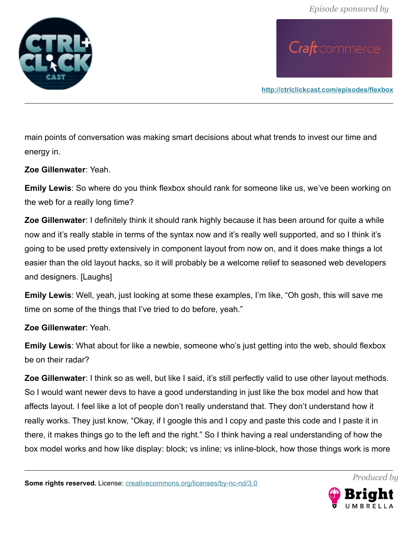

**<http://ctrlclickcast.com/episodes/flexbox>**

main points of conversation was making smart decisions about what trends to invest our time and energy in.

**Zoe Gillenwater**: Yeah.

**Emily Lewis**: So where do you think flexbox should rank for someone like us, we've been working on the web for a really long time?

**Zoe Gillenwater**: I definitely think it should rank highly because it has been around for quite a while now and it's really stable in terms of the syntax now and it's really well supported, and so I think it's going to be used pretty extensively in component layout from now on, and it does make things a lot easier than the old layout hacks, so it will probably be a welcome relief to seasoned web developers and designers. [Laughs]

**Emily Lewis**: Well, yeah, just looking at some these examples, I'm like, "Oh gosh, this will save me time on some of the things that I've tried to do before, yeah."

**Zoe Gillenwater**: Yeah.

**Emily Lewis**: What about for like a newbie, someone who's just getting into the web, should flexbox be on their radar?

**Zoe Gillenwater**: I think so as well, but like I said, it's still perfectly valid to use other layout methods. So I would want newer devs to have a good understanding in just like the box model and how that affects layout. I feel like a lot of people don't really understand that. They don't understand how it really works. They just know, "Okay, if I google this and I copy and paste this code and I paste it in there, it makes things go to the left and the right." So I think having a real understanding of how the box model works and how like display: block; vs inline; vs inline-block, how those things work is more

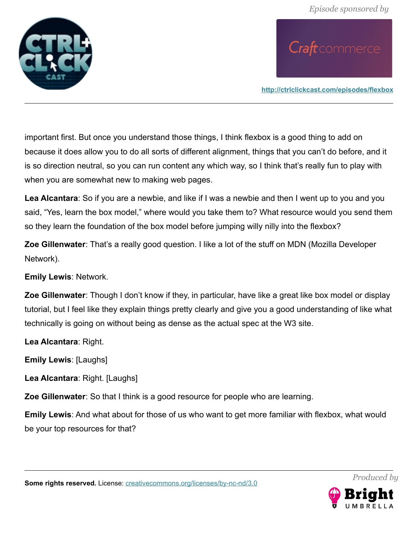

**<http://ctrlclickcast.com/episodes/flexbox>**

important first. But once you understand those things, I think flexbox is a good thing to add on because it does allow you to do all sorts of different alignment, things that you can't do before, and it is so direction neutral, so you can run content any which way, so I think that's really fun to play with when you are somewhat new to making web pages.

**Lea Alcantara**: So if you are a newbie, and like if I was a newbie and then I went up to you and you said, "Yes, learn the box model," where would you take them to? What resource would you send them so they learn the foundation of the box model before jumping willy nilly into the flexbox?

**Zoe Gillenwater**: That's a really good question. I like a lot of the stuff on MDN (Mozilla Developer Network).

**Emily Lewis**: Network.

**Zoe Gillenwater**: Though I don't know if they, in particular, have like a great like box model or display tutorial, but I feel like they explain things pretty clearly and give you a good understanding of like what technically is going on without being as dense as the actual spec at the W3 site.

**Lea Alcantara**: Right.

**Emily Lewis**: [Laughs]

**Lea Alcantara**: Right. [Laughs]

**Zoe Gillenwater**: So that I think is a good resource for people who are learning.

**Emily Lewis**: And what about for those of us who want to get more familiar with flexbox, what would be your top resources for that?

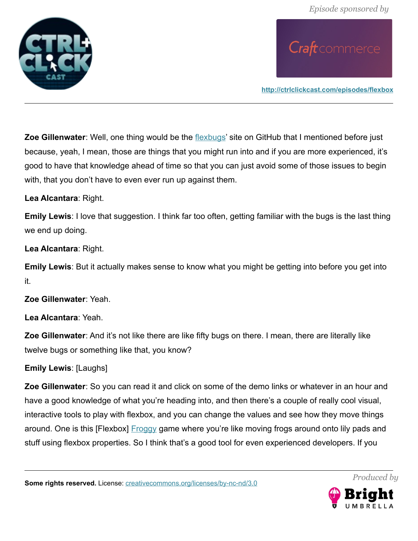

**<http://ctrlclickcast.com/episodes/flexbox>**

**Zoe Gillenwater**: Well, one thing would be the [flexbugs'](https://github.com/philipwalton/flexbugs) site on GitHub that I mentioned before just because, yeah, I mean, those are things that you might run into and if you are more experienced, it's good to have that knowledge ahead of time so that you can just avoid some of those issues to begin with, that you don't have to even ever run up against them.

#### **Lea Alcantara**: Right.

**Emily Lewis**: I love that suggestion. I think far too often, getting familiar with the bugs is the last thing we end up doing.

**Lea Alcantara**: Right.

**Emily Lewis**: But it actually makes sense to know what you might be getting into before you get into it.

**Zoe Gillenwater**: Yeah.

**Lea Alcantara**: Yeah.

**Zoe Gillenwater**: And it's not like there are like fifty bugs on there. I mean, there are literally like twelve bugs or something like that, you know?

#### **Emily Lewis**: [Laughs]

**Zoe Gillenwater**: So you can read it and click on some of the demo links or whatever in an hour and have a good knowledge of what you're heading into, and then there's a couple of really cool visual, interactive tools to play with flexbox, and you can change the values and see how they move things around. One is this [Flexbox] **Froggy game where you're like moving frogs around onto lily pads and** stuff using flexbox properties. So I think that's a good tool for even experienced developers. If you

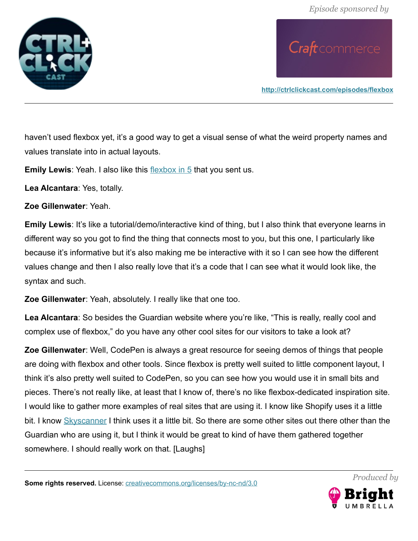

**<http://ctrlclickcast.com/episodes/flexbox>**

haven't used flexbox yet, it's a good way to get a visual sense of what the weird property names and values translate into in actual layouts.

**Emily Lewis:** Yeah. I also like this [flexbox in 5](http://flexboxin5.com/) that you sent us.

**Lea Alcantara**: Yes, totally.

**Zoe Gillenwater**: Yeah.

**Emily Lewis**: It's like a tutorial/demo/interactive kind of thing, but I also think that everyone learns in different way so you got to find the thing that connects most to you, but this one, I particularly like because it's informative but it's also making me be interactive with it so I can see how the different values change and then I also really love that it's a code that I can see what it would look like, the syntax and such.

**Zoe Gillenwater**: Yeah, absolutely. I really like that one too.

**Lea Alcantara**: So besides the Guardian website where you're like, "This is really, really cool and complex use of flexbox," do you have any other cool sites for our visitors to take a look at?

**Zoe Gillenwater**: Well, CodePen is always a great resource for seeing demos of things that people are doing with flexbox and other tools. Since flexbox is pretty well suited to little component layout, I think it's also pretty well suited to CodePen, so you can see how you would use it in small bits and pieces. There's not really like, at least that I know of, there's no like flexbox-dedicated inspiration site. I would like to gather more examples of real sites that are using it. I know like Shopify uses it a little bit. I know [Skyscanner](http://www.skyscanner.com/) I think uses it a little bit. So there are some other sites out there other than the Guardian who are using it, but I think it would be great to kind of have them gathered together somewhere. I should really work on that. [Laughs]

**Some rights reserved.** License: *creativecommons.org/licenses/by-nc-nd/3.0* 

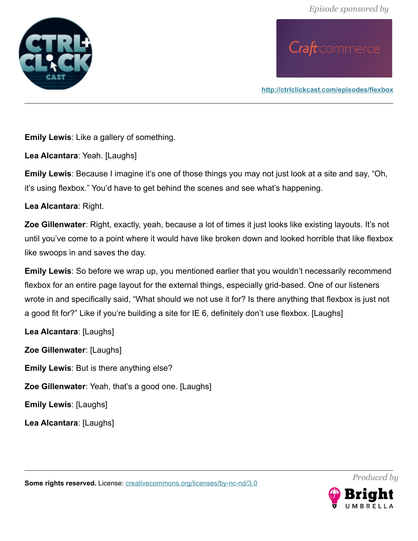

**<http://ctrlclickcast.com/episodes/flexbox>**

**Emily Lewis**: Like a gallery of something.

**Lea Alcantara**: Yeah. [Laughs]

**Emily Lewis**: Because I imagine it's one of those things you may not just look at a site and say, "Oh, it's using flexbox." You'd have to get behind the scenes and see what's happening.

**Lea Alcantara**: Right.

**Zoe Gillenwater**: Right, exactly, yeah, because a lot of times it just looks like existing layouts. It's not until you've come to a point where it would have like broken down and looked horrible that like flexbox like swoops in and saves the day.

**Emily Lewis**: So before we wrap up, you mentioned earlier that you wouldn't necessarily recommend flexbox for an entire page layout for the external things, especially grid-based. One of our listeners wrote in and specifically said, "What should we not use it for? Is there anything that flexbox is just not a good fit for?" Like if you're building a site for IE 6, definitely don't use flexbox. [Laughs]

**Lea Alcantara**: [Laughs] **Zoe Gillenwater**: [Laughs] **Emily Lewis**: But is there anything else? **Zoe Gillenwater**: Yeah, that's a good one. [Laughs] **Emily Lewis**: [Laughs] **Lea Alcantara**: [Laughs]

*Produced by*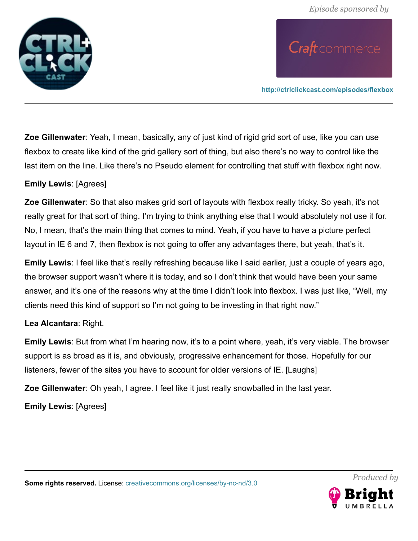

**<http://ctrlclickcast.com/episodes/flexbox>**

**Zoe Gillenwater**: Yeah, I mean, basically, any of just kind of rigid grid sort of use, like you can use flexbox to create like kind of the grid gallery sort of thing, but also there's no way to control like the last item on the line. Like there's no Pseudo element for controlling that stuff with flexbox right now.

#### **Emily Lewis**: [Agrees]

**Zoe Gillenwater**: So that also makes grid sort of layouts with flexbox really tricky. So yeah, it's not really great for that sort of thing. I'm trying to think anything else that I would absolutely not use it for. No, I mean, that's the main thing that comes to mind. Yeah, if you have to have a picture perfect layout in IE 6 and 7, then flexbox is not going to offer any advantages there, but yeah, that's it.

**Emily Lewis**: I feel like that's really refreshing because like I said earlier, just a couple of years ago, the browser support wasn't where it is today, and so I don't think that would have been your same answer, and it's one of the reasons why at the time I didn't look into flexbox. I was just like, "Well, my clients need this kind of support so I'm not going to be investing in that right now."

#### **Lea Alcantara**: Right.

**Emily Lewis**: But from what I'm hearing now, it's to a point where, yeah, it's very viable. The browser support is as broad as it is, and obviously, progressive enhancement for those. Hopefully for our listeners, fewer of the sites you have to account for older versions of IE. [Laughs]

**Zoe Gillenwater**: Oh yeah, I agree. I feel like it just really snowballed in the last year.

**Emily Lewis**: [Agrees]



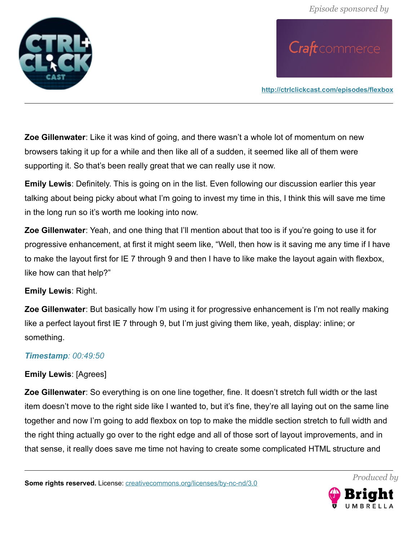

**<http://ctrlclickcast.com/episodes/flexbox>**

**Zoe Gillenwater**: Like it was kind of going, and there wasn't a whole lot of momentum on new browsers taking it up for a while and then like all of a sudden, it seemed like all of them were supporting it. So that's been really great that we can really use it now.

**Emily Lewis**: Definitely. This is going on in the list. Even following our discussion earlier this year talking about being picky about what I'm going to invest my time in this, I think this will save me time in the long run so it's worth me looking into now.

**Zoe Gillenwater**: Yeah, and one thing that I'll mention about that too is if you're going to use it for progressive enhancement, at first it might seem like, "Well, then how is it saving me any time if I have to make the layout first for IE 7 through 9 and then I have to like make the layout again with flexbox, like how can that help?"

#### **Emily Lewis**: Right.

**Zoe Gillenwater**: But basically how I'm using it for progressive enhancement is I'm not really making like a perfect layout first IE 7 through 9, but I'm just giving them like, yeah, display: inline; or something.

#### *Timestamp: 00:49:50*

#### **Emily Lewis**: [Agrees]

**Zoe Gillenwater**: So everything is on one line together, fine. It doesn't stretch full width or the last item doesn't move to the right side like I wanted to, but it's fine, they're all laying out on the same line together and now I'm going to add flexbox on top to make the middle section stretch to full width and the right thing actually go over to the right edge and all of those sort of layout improvements, and in that sense, it really does save me time not having to create some complicated HTML structure and

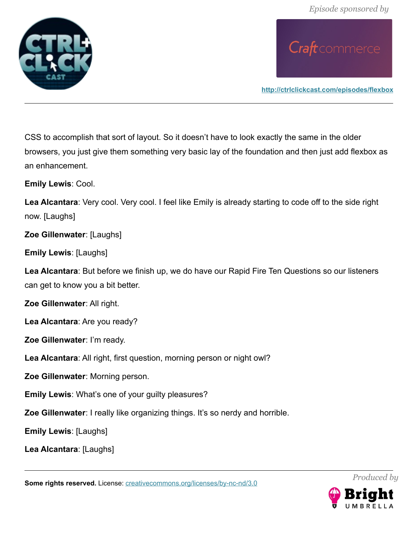

**<http://ctrlclickcast.com/episodes/flexbox>**

CSS to accomplish that sort of layout. So it doesn't have to look exactly the same in the older browsers, you just give them something very basic lay of the foundation and then just add flexbox as an enhancement.

**Emily Lewis**: Cool.

**Lea Alcantara**: Very cool. Very cool. I feel like Emily is already starting to code off to the side right now. [Laughs]

**Zoe Gillenwater**: [Laughs]

**Emily Lewis**: [Laughs]

**Lea Alcantara**: But before we finish up, we do have our Rapid Fire Ten Questions so our listeners can get to know you a bit better.

**Zoe Gillenwater**: All right.

**Lea Alcantara**: Are you ready?

**Zoe Gillenwater**: I'm ready.

**Lea Alcantara**: All right, first question, morning person or night owl?

**Zoe Gillenwater**: Morning person.

**Emily Lewis**: What's one of your guilty pleasures?

**Zoe Gillenwater**: I really like organizing things. It's so nerdy and horrible.

**Emily Lewis**: [Laughs]

**Lea Alcantara**: [Laughs]

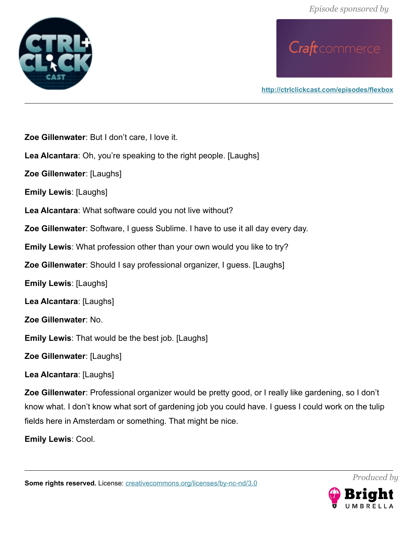*Episode sponsored by*





**<http://ctrlclickcast.com/episodes/flexbox>**

**Zoe Gillenwater**: But I don't care, I love it.

**Lea Alcantara**: Oh, you're speaking to the right people. [Laughs]

**Zoe Gillenwater**: [Laughs]

**Emily Lewis**: [Laughs]

**Lea Alcantara**: What software could you not live without?

**Zoe Gillenwater**: Software, I guess Sublime. I have to use it all day every day.

**Emily Lewis**: What profession other than your own would you like to try?

**Zoe Gillenwater**: Should I say professional organizer, I guess. [Laughs]

**Emily Lewis**: [Laughs]

**Lea Alcantara**: [Laughs]

**Zoe Gillenwater**: No.

**Emily Lewis**: That would be the best job. [Laughs]

**Zoe Gillenwater**: [Laughs]

**Lea Alcantara**: [Laughs]

**Zoe Gillenwater**: Professional organizer would be pretty good, or I really like gardening, so I don't know what. I don't know what sort of gardening job you could have. I guess I could work on the tulip fields here in Amsterdam or something. That might be nice.

**Emily Lewis**: Cool.

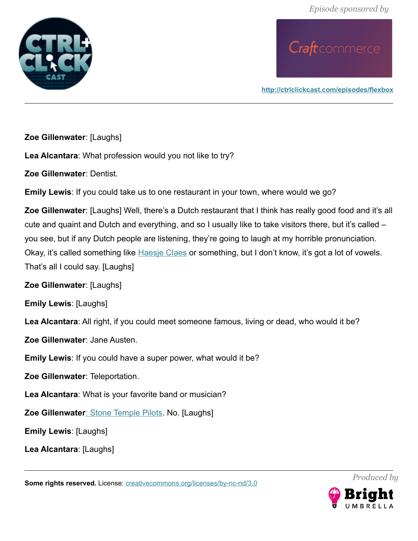

**<http://ctrlclickcast.com/episodes/flexbox>**

**Zoe Gillenwater**: [Laughs]

**Lea Alcantara**: What profession would you not like to try?

**Zoe Gillenwater**: Dentist.

**Emily Lewis**: If you could take us to one restaurant in your town, where would we go?

**Zoe Gillenwater**: [Laughs] Well, there's a Dutch restaurant that I think has really good food and it's all cute and quaint and Dutch and everything, and so I usually like to take visitors there, but it's called – you see, but if any Dutch people are listening, they're going to laugh at my horrible pronunciation. Okay, it's called something like [Haesje Claes](http://www.haesjeclaes.nl/) or something, but I don't know, it's got a lot of vowels. That's all I could say. [Laughs]

**Zoe Gillenwater**: [Laughs]

**Emily Lewis**: [Laughs]

**Lea Alcantara**: All right, if you could meet someone famous, living or dead, who would it be?

**Zoe Gillenwater**: Jane Austen.

**Emily Lewis**: If you could have a super power, what would it be?

**Zoe Gillenwater**: Teleportation.

**Lea Alcantara**: What is your favorite band or musician?

Zoe Gillenwater[: Stone Temple Pilots.](http://ww.stonetemplepilots.com/) No. [Laughs]

**Emily Lewis**: [Laughs]

**Lea Alcantara**: [Laughs]

Some rights reserved. License: *creativecommons.org/licenses/by-nc-nd/3.0* 

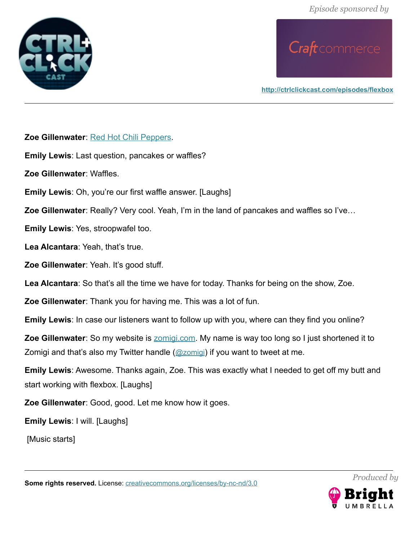*Episode sponsored by*



# Craft commerce

**<http://ctrlclickcast.com/episodes/flexbox>**

**Zoe Gillenwater**: [Red Hot Chili Peppers.](http://redhotchilipeppers.com/)

**Emily Lewis**: Last question, pancakes or waffles?

**Zoe Gillenwater**: Waffles.

**Emily Lewis**: Oh, you're our first waffle answer. [Laughs]

**Zoe Gillenwater**: Really? Very cool. Yeah, I'm in the land of pancakes and waffles so I've…

**Emily Lewis**: Yes, stroopwafel too.

**Lea Alcantara**: Yeah, that's true.

**Zoe Gillenwater**: Yeah. It's good stuff.

**Lea Alcantara**: So that's all the time we have for today. Thanks for being on the show, Zoe.

**Zoe Gillenwater**: Thank you for having me. This was a lot of fun.

**Emily Lewis**: In case our listeners want to follow up with you, where can they find you online?

**Zoe Gillenwater**: So my website is **zomigi.com.** My name is way too long so I just shortened it to Zomigi and that's also my Twitter handle ([@zomigi](http://twitter.com/zomigi)) if you want to tweet at me.

**Emily Lewis**: Awesome. Thanks again, Zoe. This was exactly what I needed to get off my butt and start working with flexbox. [Laughs]

**Zoe Gillenwater**: Good, good. Let me know how it goes.

**Emily Lewis**: I will. [Laughs]

[Music starts]



*Produced by*